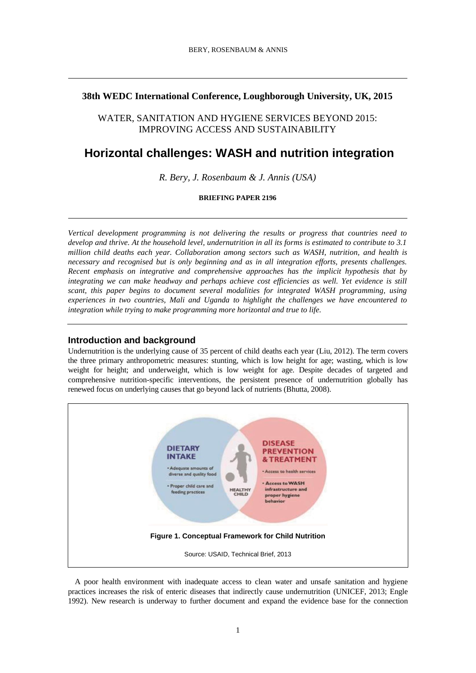# **38th WEDC International Conference, Loughborough University, UK, 2015**

WATER, SANITATION AND HYGIENE SERVICES BEYOND 2015: IMPROVING ACCESS AND SUSTAINABILITY

# **Horizontal challenges: WASH and nutrition integration**

*R. Bery, J. Rosenbaum & J. Annis (USA)*

**BRIEFING PAPER 2196**

*Vertical development programming is not delivering the results or progress that countries need to develop and thrive. At the household level, undernutrition in all its forms is estimated to contribute to 3.1 million child deaths each year. Collaboration among sectors such as WASH, nutrition, and health is necessary and recognised but is only beginning and as in all integration efforts, presents challenges. Recent emphasis on integrative and comprehensive approaches has the implicit hypothesis that by integrating we can make headway and perhaps achieve cost efficiencies as well. Yet evidence is still scant, this paper begins to document several modalities for integrated WASH programming, using experiences in two countries, Mali and Uganda to highlight the challenges we have encountered to integration while trying to make programming more horizontal and true to life.*

# **Introduction and background**

Undernutrition is the underlying cause of 35 percent of child deaths each year (Liu, 2012). The term covers the three primary anthropometric measures: stunting, which is low height for age; wasting, which is low weight for height; and underweight, which is low weight for age. Despite decades of targeted and comprehensive nutrition-specific interventions, the persistent presence of undernutrition globally has renewed focus on underlying causes that go beyond lack of nutrients (Bhutta, 2008).



A poor health environment with inadequate access to clean water and unsafe sanitation and hygiene practices increases the risk of enteric diseases that indirectly cause undernutrition (UNICEF, 2013; Engle 1992). New research is underway to further document and expand the evidence base for the connection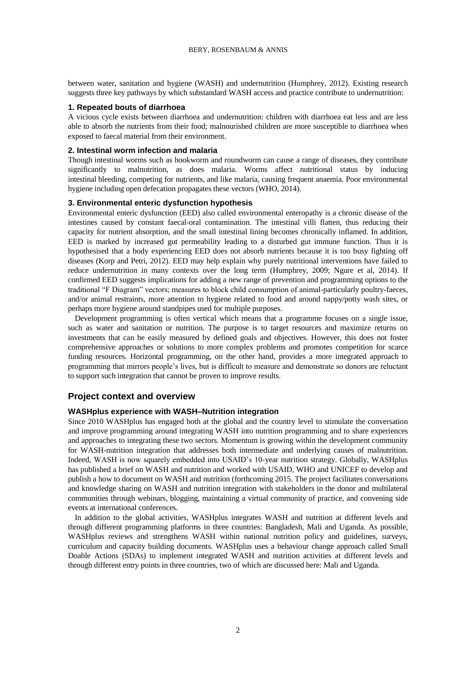between water, sanitation and hygiene (WASH) and undernutrition (Humphrey, 2012). Existing research suggests three key pathways by which substandard WASH access and practice contribute to undernutrition:

#### **1. Repeated bouts of diarrhoea**

A vicious cycle exists between diarrhoea and undernutrition: children with diarrhoea eat less and are less able to absorb the nutrients from their food; malnourished children are more susceptible to diarrhoea when exposed to faecal material from their environment.

#### **2. Intestinal worm infection and malaria**

Though intestinal worms such as hookworm and roundworm can cause a range of diseases, they contribute significantly to malnutrition, as does malaria. Worms affect nutritional status by inducing intestinal [bleeding, competing for nutrients, and like](http://en.wikipedia.org/wiki/Haemorrhage) malaria, causing frequent anaemia. Poor environmental hygiene including open defecation propagates these vectors (WHO, 2014).

#### **3. Environmental enteric dysfunction hypothesis**

Environmental enteric dysfunction (EED) also called environmental enteropathy is a chronic disease of the intestines caused by constant faecal-oral contamination. The intestinal villi flatten, thus reducing their capacity for nutrient absorption, and the small intestinal lining becomes chronically inflamed. In addition, EED is marked by increased gut permeability leading to a disturbed gut immune function. Thus it is hypothesised that a body experiencing EED does not absorb nutrients because it is too busy fighting off diseases (Korp and Petri, 2012). EED may help explain why purely nutritional interventions have failed to reduce undernutrition in many contexts over the long term (Humphrey, 2009; Ngure et al, 2014). If confirmed EED suggests implications for adding a new range of prevention and programming options to the traditional "F Diagram" vectors; measures to block child consumption of animal-particularly poultry-faeces, and/or animal restraints, more attention to hygiene related to food and around nappy/potty wash sites, or perhaps more hygiene around standpipes used for multiple purposes.

Development programming is often vertical which means that a programme focuses on a single issue, such as water and sanitation or nutrition. The purpose is to target resources and maximize returns on investments that can be easily measured by defined goals and objectives. However, this does not foster comprehensive approaches or solutions to more complex problems and promotes competition for scarce funding resources. Horizontal programming, on the other hand, provides a more integrated approach to programming that mirrors people's lives, but is difficult to measure and demonstrate so donors are reluctant to support such integration that cannot be proven to improve results.

#### **Project context and overview**

#### **WASHplus experience with WASH–Nutrition integration**

Since 2010 WASHplus has engaged both at the global and the country level to stimulate the conversation and improve programming around integrating WASH into nutrition programming and to share experiences and approaches to integrating these two sectors. Momentum is growing within the development community for WASH-nutrition integration that addresses both intermediate and underlying causes of malnutrition. Indeed, WASH is now squarely embedded into USAID's 10-year nutrition strategy. Globally, WASHplus has published a brief on WASH and nutrition and worked with USAID, WHO and UNICEF to develop and publish a how to document on WASH and nutrition (forthcoming 2015. The project facilitates conversations and knowledge sharing on WASH and nutrition integration with stakeholders in the donor and multilateral communities through webinars, blogging, maintaining a virtual community of practice, and convening side events at international conferences.

In addition to the global activities, WASHplus integrates WASH and nutrition at different levels and through different programming platforms in three countries: Bangladesh, Mali and Uganda. As possible, WASHplus reviews and strengthens WASH within national nutrition policy and guidelines, surveys, curriculum and capacity building documents. WASHplus uses a behaviour change approach called Small Doable Actions (SDAs) to implement integrated WASH and nutrition activities at different levels and through different entry points in three countries, two of which are discussed here: Mali and Uganda.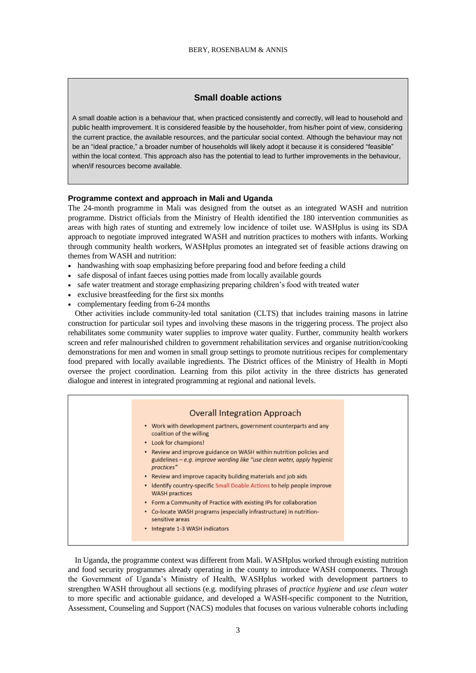# **Small doable actions**

A small doable action is a behaviour that, when practiced consistently and correctly, will lead to household and public health improvement. It is considered feasible by the householder, from his/her point of view, considering the current practice, the available resources, and the particular social context. Although the behaviour may not be an "ideal practice," a broader number of households will likely adopt it because it is considered "feasible" within the local context. This approach also has the potential to lead to further improvements in the behaviour, when/if resources become available.

#### **Programme context and approach in Mali and Uganda**

The 24-month programme in Mali was designed from the outset as an integrated WASH and nutrition programme. District officials from the Ministry of Health identified the 180 intervention communities as areas with high rates of stunting and extremely low incidence of toilet use. WASHplus is using its SDA approach to negotiate improved integrated WASH and nutrition practices to mothers with infants. Working through community health workers, WASHplus promotes an integrated set of feasible actions drawing on themes from WASH and nutrition:

- handwashing with soap emphasizing before preparing food and before feeding a child
- safe disposal of infant faeces using potties made from locally available gourds
- safe water treatment and storage emphasizing preparing children's food with treated water
- exclusive breastfeeding for the first six months
- complementary feeding from 6-24 months

Other activities include community-led total sanitation (CLTS) that includes training masons in latrine construction for particular soil types and involving these masons in the triggering process. The project also rehabilitates some community water supplies to improve water quality. Further, community health workers screen and refer malnourished children to government rehabilitation services and organise nutrition/cooking demonstrations for men and women in small group settings to promote nutritious recipes for complementary food prepared with locally available ingredients. The District offices of the Ministry of Health in Mopti oversee the project coordination. Learning from this pilot activity in the three districts has generated dialogue and interest in integrated programming at regional and national levels.



In Uganda, the programme context was different from Mali. WASHplus worked through existing nutrition and food security programmes already operating in the county to introduce WASH components. Through the Government of Uganda's Ministry of Health, WASHplus worked with development partners to strengthen WASH throughout all sections (e.g. modifying phrases of *practice hygiene* and *use clean water*  to more specific and actionable guidance, and developed a WASH-specific component to the Nutrition, Assessment, Counseling and Support (NACS) modules that focuses on various vulnerable cohorts including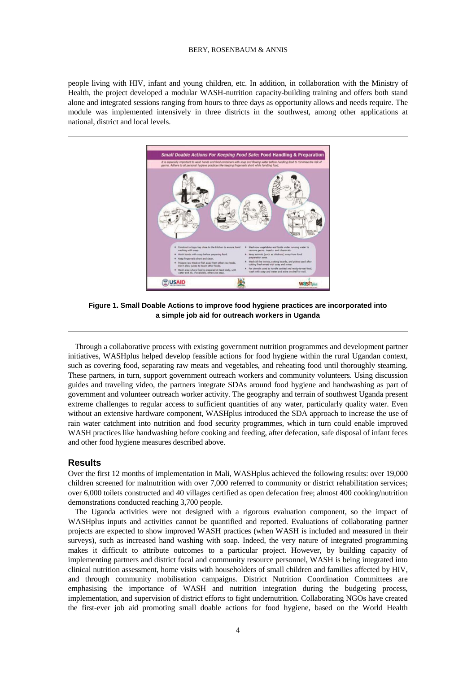#### BERY, ROSENBAUM & ANNIS

people living with HIV, infant and young children, etc. In addition, in collaboration with the Ministry of Health, the project developed a modular WASH-nutrition capacity-building training and offers both stand alone and integrated sessions ranging from hours to three days as opportunity allows and needs require. The module was implemented intensively in three districts in the southwest, among other applications at national, district and local levels.



Through a collaborative process with existing government nutrition programmes and development partner initiatives, WASHplus helped develop feasible actions for food hygiene within the rural Ugandan context, such as covering food, separating raw meats and vegetables, and reheating food until thoroughly steaming. These partners, in turn, support government outreach workers and community volunteers. Using discussion guides and traveling video, the partners integrate SDAs around food hygiene and handwashing as part of government and volunteer outreach worker activity. The geography and terrain of southwest Uganda present extreme challenges to regular access to sufficient quantities of any water, particularly quality water. Even without an extensive hardware component, WASHplus introduced the SDA approach to increase the use of rain water catchment into nutrition and food security programmes, which in turn could enable improved WASH practices like handwashing before cooking and feeding, after defecation, safe disposal of infant feces and other food hygiene measures described above.

# **Results**

Over the first 12 months of implementation in Mali, WASHplus achieved the following results: over 19,000 children screened for malnutrition with over 7,000 referred to community or district rehabilitation services; over 6,000 toilets constructed and 40 villages certified as open defecation free; almost 400 cooking/nutrition demonstrations conducted reaching 3,700 people.

The Uganda activities were not designed with a rigorous evaluation component, so the impact of WASHplus inputs and activities cannot be quantified and reported. Evaluations of collaborating partner projects are expected to show improved WASH practices (when WASH is included and measured in their surveys), such as increased hand washing with soap. Indeed, the very nature of integrated programming makes it difficult to attribute outcomes to a particular project. However, by building capacity of implementing partners and district focal and community resource personnel, WASH is being integrated into clinical nutrition assessment, home visits with householders of small children and families affected by HIV, and through community mobilisation campaigns. District Nutrition Coordination Committees are emphasising the importance of WASH and nutrition integration during the budgeting process, implementation, and supervision of district efforts to fight undernutrition. Collaborating NGOs have created the first-ever job aid promoting small doable actions for food hygiene, based on the World Health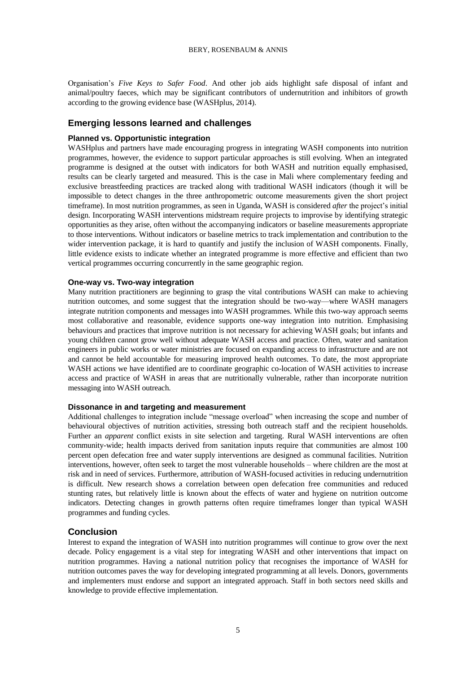Organisation's *Five Keys to Safer Food*. And other job aids highlight safe disposal of infant and animal/poultry faeces, which may be significant contributors of undernutrition and inhibitors of growth according to the growing evidence base (WASHplus, 2014).

# **Emerging lessons learned and challenges**

# **Planned vs. Opportunistic integration**

WASHplus and partners have made encouraging progress in integrating WASH components into nutrition programmes, however, the evidence to support particular approaches is still evolving. When an integrated programme is designed at the outset with indicators for both WASH and nutrition equally emphasised, results can be clearly targeted and measured. This is the case in Mali where complementary feeding and exclusive breastfeeding practices are tracked along with traditional WASH indicators (though it will be impossible to detect changes in the three anthropometric outcome measurements given the short project timeframe). In most nutrition programmes, as seen in Uganda, WASH is considered *after* the project's initial design. Incorporating WASH interventions midstream require projects to improvise by identifying strategic opportunities as they arise, often without the accompanying indicators or baseline measurements appropriate to those interventions. Without indicators or baseline metrics to track implementation and contribution to the wider intervention package, it is hard to quantify and justify the inclusion of WASH components. Finally, little evidence exists to indicate whether an integrated programme is more effective and efficient than two vertical programmes occurring concurrently in the same geographic region.

# **One-way vs. Two-way integration**

Many nutrition practitioners are beginning to grasp the vital contributions WASH can make to achieving nutrition outcomes, and some suggest that the integration should be two-way—where WASH managers integrate nutrition components and messages into WASH programmes. While this two-way approach seems most collaborative and reasonable, evidence supports one-way integration into nutrition. Emphasising behaviours and practices that improve nutrition is not necessary for achieving WASH goals; but infants and young children cannot grow well without adequate WASH access and practice. Often, water and sanitation engineers in public works or water ministries are focused on expanding access to infrastructure and are not and cannot be held accountable for measuring improved health outcomes. To date, the most appropriate WASH actions we have identified are to coordinate geographic co-location of WASH activities to increase access and practice of WASH in areas that are nutritionally vulnerable, rather than incorporate nutrition messaging into WASH outreach.

# **Dissonance in and targeting and measurement**

Additional challenges to integration include "message overload" when increasing the scope and number of behavioural objectives of nutrition activities, stressing both outreach staff and the recipient households. Further an *apparent* conflict exists in site selection and targeting. Rural WASH interventions are often community-wide; health impacts derived from sanitation inputs require that communities are almost 100 percent open defecation free and water supply interventions are designed as communal facilities. Nutrition interventions, however, often seek to target the most vulnerable households – where children are the most at risk and in need of services. Furthermore, attribution of WASH-focused activities in reducing undernutrition is difficult. New research shows a correlation between open defecation free communities and reduced stunting rates, but relatively little is known about the effects of water and hygiene on nutrition outcome indicators. Detecting changes in growth patterns often require timeframes longer than typical WASH programmes and funding cycles.

# **Conclusion**

Interest to expand the integration of WASH into nutrition programmes will continue to grow over the next decade. Policy engagement is a vital step for integrating WASH and other interventions that impact on nutrition programmes. Having a national nutrition policy that recognises the importance of WASH for nutrition outcomes paves the way for developing integrated programming at all levels. Donors, governments and implementers must endorse and support an integrated approach. Staff in both sectors need skills and knowledge to provide effective implementation.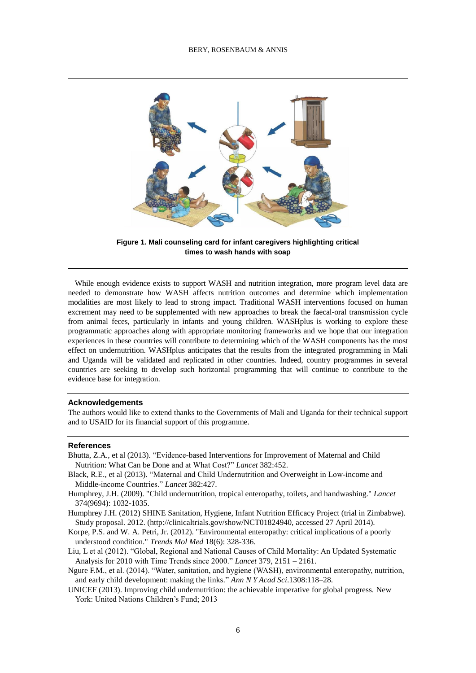

While enough evidence exists to support WASH and nutrition integration, more program level data are needed to demonstrate how WASH affects nutrition outcomes and determine which implementation modalities are most likely to lead to strong impact. Traditional WASH interventions focused on human excrement may need to be supplemented with new approaches to break the faecal-oral transmission cycle from animal feces, particularly in infants and young children. WASHplus is working to explore these programmatic approaches along with appropriate monitoring frameworks and we hope that our integration experiences in these countries will contribute to determining which of the WASH components has the most effect on undernutrition. WASHplus anticipates that the results from the integrated programming in Mali and Uganda will be validated and replicated in other countries. Indeed, country programmes in several countries are seeking to develop such horizontal programming that will continue to contribute to the evidence base for integration.

#### **Acknowledgements**

The authors would like to extend thanks to the Governments of Mali and Uganda for their technical support and to USAID for its financial support of this programme.

#### **References**

- Bhutta, Z.A., et al (2013). "Evidence-based Interventions for Improvement of Maternal and Child Nutrition: What Can be Done and at What Cost?" *Lancet* 382:452.
- Black, R.E., et al (2013). "Maternal and Child Undernutrition and Overweight in Low-income and Middle-income Countries." *Lancet* 382:427.
- Humphrey, J.H. (2009). "Child undernutrition, tropical enteropathy, toilets, and handwashing." *Lancet* 374(9694): 1032-1035.
- Humphrey J.H. (2012) SHINE Sanitation, Hygiene, Infant Nutrition Efficacy Project (trial in Zimbabwe). Study proposal. 2012. (http://clinicaltrials.gov/show/NCT01824940, accessed 27 April 2014).
- Korpe, P.S. and W. A. Petri, Jr. (2012). "Environmental enteropathy: critical implications of a poorly understood condition." *Trends Mol Med* 18(6): 328-336.
- Liu, L et al (2012). "Global, Regional and National Causes of Child Mortality: An Updated Systematic Analysis for 2010 with Time Trends since 2000." *Lancet* 379, 2151 – 2161.
- Ngure F.M., et al. (2014). "Water, sanitation, and hygiene (WASH), environmental enteropathy, nutrition, and early child development: making the links." *Ann N Y Acad Sci*.1308:118–28.
- UNICEF (2013). Improving child undernutrition: the achievable imperative for global progress. New York: United Nations Children's Fund; 2013